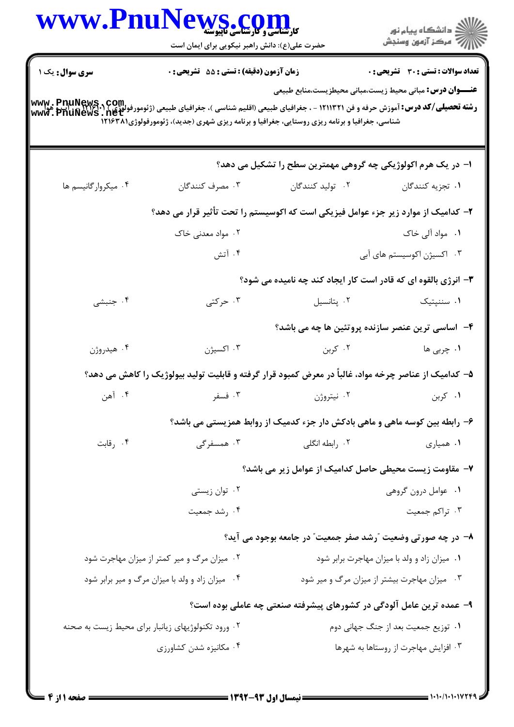|                        | WWW.PnuNews.com<br>حضرت علی(ع): دانش راهبر نیکویی برای ایمان است                                                                                                                                                                                                                     |                                                                             | ڪ دانشڪاه پيام نور<br><mark>ر</mark> ⊽ مرڪز آزمون وسنڊش |
|------------------------|--------------------------------------------------------------------------------------------------------------------------------------------------------------------------------------------------------------------------------------------------------------------------------------|-----------------------------------------------------------------------------|---------------------------------------------------------|
| <b>سری سوال :</b> یک ۱ | زمان آزمون (دقیقه) : تستی : 55 تشریحی : 0                                                                                                                                                                                                                                            |                                                                             | تعداد سوالات : تستى : 30 قشريحى : 0                     |
|                        | <b>رشته تحصیلی/کد درس:</b> آموزش حرفه و فن ۱۲۱۱۳۲۱ - ، جغرافیای طبیعی (اقلیم شناسی )، جغرافیای طبیعی (ژئومورفولوژی ) <b>۱٬۶۰۱ - ، ال پیمالا پیمالا</b><br><b>www . PhuNews . net</b><br>شناسی، جغرافیا و برنامه ریزی روستایی، جغرافیا و برنامه ریزی شهری (جدید)، ژئومورفولوژی(۱۲۱۶۳۸ | <b>عنــــوان درس:</b> مبانی محیط زیست،مبانی محیطزیست،منابع طبیعی            |                                                         |
|                        |                                                                                                                                                                                                                                                                                      | ا- در یک هرم اکولوژیکی چه گروهی مهمترین سطح را تشکیل می دهد؟                |                                                         |
| ۰۴ میکروارگانیسم ها    | ۰۳ مصرف کنندگان                                                                                                                                                                                                                                                                      | ۰۲ تولید کنندگان                                                            | ۰۱ تجزیه کنندگان                                        |
|                        | ۲– کدامیک از موارد زیر جزء عوامل فیزیکی است که اکوسیستم را تحت تأثیر قرار می دهد؟                                                                                                                                                                                                    |                                                                             |                                                         |
|                        | ۰۲ مواد معدنی خاک                                                                                                                                                                                                                                                                    |                                                                             | ۰۱ مواد آل <sub>ی</sub> خاک                             |
|                        | ۰۴ آتش                                                                                                                                                                                                                                                                               |                                                                             | ۰۳ اکسیژن اکوسیستم های آبی                              |
|                        |                                                                                                                                                                                                                                                                                      | ۳- انرژی بالقوه ای که قادر است کار ایجاد کند چه نامیده می شود؟              |                                                         |
| ۰۴ جنبشی               | ۰۳ حرکتی                                                                                                                                                                                                                                                                             | ٠٢ پتانسيل                                                                  | ۰۱ سننپتیک                                              |
|                        |                                                                                                                                                                                                                                                                                      | ۴– اساسی ترین عنصر سازنده پروتئین ها چه می باشد؟                            |                                                         |
| ۰۴ هيدروژن             | ۰۳ اکسیژن                                                                                                                                                                                                                                                                            | ۰۲ کربن                                                                     | ۰۱ چرب <sub>ی</sub> ها                                  |
|                        | ۵– کدامیک از عناصر چرخه مواد، غالباً در معرض کمبود قرار گرفته و قابلیت تولید بیولوژیک را کاهش می دهد؟                                                                                                                                                                                |                                                                             |                                                         |
| ۰۴ آهن                 | ۰۳ فسفر                                                                                                                                                                                                                                                                              | ۰۲ نیتروژن                                                                  | ۰۱ کربن                                                 |
|                        |                                                                                                                                                                                                                                                                                      | ۶– رابطه بین کوسه ماهی و ماهی بادکش دار جزء کدمیک از روابط همزیستی می باشد؟ |                                                         |
| ۰۴ رقابت               | ۰۳ همسفرگی                                                                                                                                                                                                                                                                           | ۰۲ رابطه انگلی                                                              | ۰۱ همیاری                                               |
|                        |                                                                                                                                                                                                                                                                                      | ۷- مقاومت زیست محیطی حاصل کدامیک از عوامل زیر می باشد؟                      |                                                         |
|                        | ۰۲ توان زیستی                                                                                                                                                                                                                                                                        |                                                                             | ٠١. عوامل درون گروهي                                    |
|                        | ۰۴ رشد جمعیت                                                                                                                                                                                                                                                                         |                                                                             | ۰۳ تراکم جمعیت                                          |
|                        |                                                                                                                                                                                                                                                                                      | ۸– در چه صورتی وضعیت ″رشد صفر جمعیت″ در جامعه بوجود می آید؟                 |                                                         |
|                        | ۰۲ میزان مرگ و میر کمتر از میزان مهاجرت شود                                                                                                                                                                                                                                          | ۰۱ میزان زاد و ولد با میزان مهاجرت برابر شود                                |                                                         |
|                        | ۰۴ میزان زاد و ولد با میزان مرگ و میر برابر شود                                                                                                                                                                                                                                      |                                                                             | ۰۳ میزان مهاجرت بیشتر از میزان مرگ و میر شود            |
|                        |                                                                                                                                                                                                                                                                                      | ۹- عمده ترین عامل آلودگی در کشورهای پیشرفته صنعتی چه عاملی بوده است؟        |                                                         |
|                        | ۰۲ ورود تکنولوژیهای زیانبار برای محیط زیست به صحنه                                                                                                                                                                                                                                   |                                                                             | ۰۱ توزیع جمعیت بعد از جنگ جهانی دوم                     |
|                        | ۰۴ مکانیزه شدن کشاورزی                                                                                                                                                                                                                                                               |                                                                             | ۰۳ افزایش مهاجرت از روستاها به شهرها                    |
|                        |                                                                                                                                                                                                                                                                                      |                                                                             |                                                         |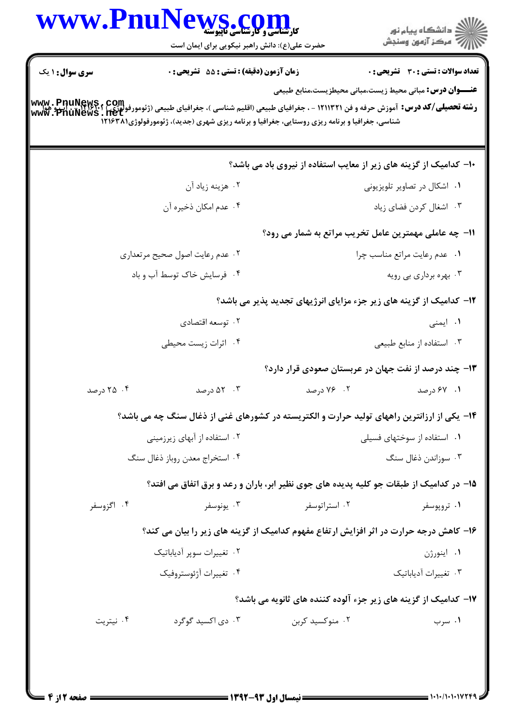|                        | حضرت علی(ع): دانش راهبر نیکویی برای ایمان است                                                                                                                |                                                                     | ر دانشڪاه پيام نور<br>اڳ مرڪز آزمون وسنڊش    |
|------------------------|--------------------------------------------------------------------------------------------------------------------------------------------------------------|---------------------------------------------------------------------|----------------------------------------------|
| <b>سری سوال : ۱ یک</b> | زمان آزمون (دقیقه) : تستی : 55 آتشریحی : 0                                                                                                                   |                                                                     | <b>تعداد سوالات : تستی : 30 ٪ تشریحی : 0</b> |
|                        |                                                                                                                                                              | <b>عنـــوان درس:</b> مبانی محیط زیست،مبانی محیطزیست،منابع طبیعی     |                                              |
|                        | <b>رشته تحصیلی/کد درس:</b> آموزش حرفه و فن ۱۲۱۱۳۲۱ - ، جغرافیای طبیعی (اقلیم شناسی )، جغرافیای طبیعی (ژئومورفولوژی) ۱۹۶۲۴۰۲۰ اپ و هوا<br>www . PnuNews . net |                                                                     |                                              |
|                        | شناسی، جغرافیا و برنامه ریزی روستایی، جغرافیا و برنامه ریزی شهری (جدید)، ژئومورفولوژی(۱۲۱۶۳۸                                                                 |                                                                     |                                              |
|                        |                                                                                                                                                              | ۱۰– کدامیک از گزینه های زیر از معایب استفاده از نیروی باد می باشد؟  |                                              |
|                        | ۰۲ هزینه زیاد آن                                                                                                                                             |                                                                     | ۰۱ اشکال در تصاویر تلویزیونی                 |
|                        | ۰۴ عدم امکان ذخیره آن                                                                                                                                        |                                                                     | ٠٣ اشغال كردن فضاى زياد                      |
|                        |                                                                                                                                                              | 11- چه عاملی مهمترین عامل تخریب مراتع به شمار می رود؟               |                                              |
|                        | ۰۲ عدم رعايت اصول صحيح مرتعداري                                                                                                                              |                                                                     | ٠١ عدم رعايت مراتع مناسب چرا                 |
|                        | ۰۴ فرسایش خاک توسط آب و باد                                                                                                                                  |                                                                     | ۰۳ بهره برداري بي رويه                       |
|                        |                                                                                                                                                              | 1۲- کدامیک از گزینه های زیر جزء مزایای انرژیهای تجدید پذیر می باشد؟ |                                              |
|                        | ۰۲ توسعه اقتصادي                                                                                                                                             |                                                                     | ۰۱ ایمنی                                     |
|                        | ۰۴ اثرات زیست محیطی                                                                                                                                          |                                                                     | ۰۳ استفاده از منابع طبیعی                    |
|                        |                                                                                                                                                              | ۱۳- چند درصد از نفت جهان در عربستان صعودی قرار دارد؟                |                                              |
| ۰۴ د, صد               | ۰۳ کا درصد                                                                                                                                                   | ۰۲ - ۷۶ درصد                                                        | ۰۱ ۶۷ درصد                                   |
|                        | ۱۴- یکی از ارزانترین راههای تولید حرارت و الکتریسته در کشورهای غنی از ذغال سنگ چه می باشد؟                                                                   |                                                                     |                                              |
|                        | ۰۲ استفاده از آبهای زیرزمینی                                                                                                                                 | ۰۱ استفاده از سوختهای فسیلی                                         |                                              |
|                        | ۰۴ استخراج معدن روباز ذغال سنگ                                                                                                                               |                                                                     | ۰۳ سوزاندن ذغال سنگ                          |
|                        | ۱۵– در کدامیک از طبقات جو کلیه پدیده های جوی نظیر ابر، باران و رعد و برق اتفاق می افتد؟                                                                      |                                                                     |                                              |
| ۰۴ اگزوسفر             | ۰۳ يونوسفر                                                                                                                                                   | ۰۲ استراتوسفر                                                       | ۰۱ تروپوسفر                                  |
|                        | ۱۶- کاهش درجه حرارت در اثر افزایش ارتفاع مفهوم کدامیک از گزینه های زیر را بیان می کند؟                                                                       |                                                                     |                                              |
|                        | ۰۲ تغییرات سویر آدیاباتیک                                                                                                                                    |                                                                     | ۰۱ اینورژن                                   |
|                        | ۰۴ تغییرات آژئوستروفیک                                                                                                                                       |                                                                     | ۰۳ تغییرات آدیاباتیک                         |
|                        |                                                                                                                                                              | ۱۷– کدامیک از گزینه های زیر جزء آلوده کننده های ثانویه می باشد؟     |                                              |
| ۰۴ نیتریت              | ۰۳ دی اکسید گوگرد                                                                                                                                            | ۰۲ منوکسید کربن                                                     | ۰۱ سرب                                       |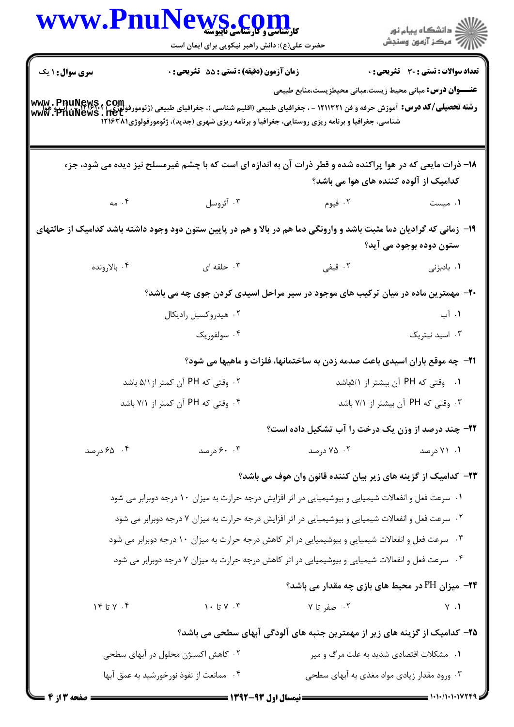| www.Pnu                           | <b>کارشناسی و کارشناسی تاپیوسته</b><br>کارشناسی و کارشناسی تاپیوسته<br>حضرت علی(ع): دانش راهبر نیکویی برای ایمان است                                                                                                                                                                                                |                                                                                    | ِ دانشڪاه پيام نور<br>/∕ مرڪز آزمون وسنڊش |
|-----------------------------------|---------------------------------------------------------------------------------------------------------------------------------------------------------------------------------------------------------------------------------------------------------------------------------------------------------------------|------------------------------------------------------------------------------------|-------------------------------------------|
| <b>سری سوال : ۱ یک</b>            | <b>زمان آزمون (دقیقه) : تستی : 55 تشریحی : 0</b><br><b>رشته تحصیلی/کد درس:</b> آموزش حرفه و فن ۱۲۱۱۳۲۱ - ، جغرافیای طبیعی (اقلیم شناسی )، جغرافیای طبیعی (ژئومورفولوژی) ۱۲۹۲۴۰۰ - ۲۰۰۰ و هوا<br>www ، PnuNews ، net<br>شناسی، جغرافیا و برنامه ریزی روستایی، جغرافیا و برنامه ریزی شهری (جدید)، ژئومورفولوژی(۱۲۱۶۳۸ | <b>عنــــوان درس:</b> مبانی محیط زیست،مبانی محیطزیست،منابع طبیعی                   | تعداد سوالات : تستى : 30 قشريحى : 0       |
|                                   | ۱۸– ذرات مایعی که در هوا پراکنده شده و قطر ذرات آن به اندازه ای است که با چشم غیرمسلح نیز دیده می شود، جزء                                                                                                                                                                                                          | کدامیک از آلوده کننده های هوا می باشد؟                                             |                                           |
| $\sim$ . ۴                        | ۰۳ آئروسل                                                                                                                                                                                                                                                                                                           | ۰۲ فیوم                                                                            | ۰۱ میست                                   |
|                                   | ۱۹- زمانی که گرادیان دما مثبت باشد و وارونگی دما هم در بالا و هم در پایین ستون دود وجود داشته باشد کدامیک از حالتهای                                                                                                                                                                                                |                                                                                    | ستون دوده بوجود می آید؟                   |
| ۰۴ بالارونده                      | ۰۳ حلقه ای                                                                                                                                                                                                                                                                                                          | ۰۲ قیفی                                                                            | ۰۱ بادبزنی                                |
|                                   | +۲- مهمترین ماده در میان ترکیب های موجود در سیر مراحل اسیدی کردن جوی چه می باشد؟                                                                                                                                                                                                                                    |                                                                                    |                                           |
|                                   | ۰۲ هیدروکسیل رادیکال                                                                                                                                                                                                                                                                                                |                                                                                    | ۰۱ آب                                     |
|                                   | ۰۴ سولفوريک                                                                                                                                                                                                                                                                                                         |                                                                                    | ۰۳ اسید نیتریک                            |
|                                   |                                                                                                                                                                                                                                                                                                                     | <b>۲۱</b> - چه موقع باران اسیدی باعث صدمه زدن به ساختمانها، فلزات و ماهیها می شود؟ |                                           |
| ۰۲ وقتی که PH آن کمتر از ۵/۱ باشد |                                                                                                                                                                                                                                                                                                                     | ۰۱ وقتی که PH آن بیشتر از ۵/۱باشد                                                  |                                           |
| ۰۴ وقتی که PH آن کمتر از ۷/۱ باشد |                                                                                                                                                                                                                                                                                                                     | ۰۳ وقتی که PH آن بیشتر از ۷/۱ باشد                                                 |                                           |
|                                   |                                                                                                                                                                                                                                                                                                                     | <b>3۲- چند درصد از وزن یک درخت را آب تشکیل داده است؟</b>                           |                                           |
| ۰۴ ه ۶۵ درصد                      | ۰.۳ ورصد                                                                                                                                                                                                                                                                                                            | ۰۲ درصد                                                                            | ۰۱ ۷۱ درصد                                |
|                                   |                                                                                                                                                                                                                                                                                                                     | ۲۳– کدامیک از گزینه های زیر بیان کننده قانون وان هوف می باشد؟                      |                                           |
|                                   | ۰۱ سرعت فعل و انفعالات شیمیایی و بیوشیمیایی در اثر افزایش درجه حرارت به میزان ۱۰ درجه دوبرابر می شود                                                                                                                                                                                                                |                                                                                    |                                           |
|                                   | ۰۲ سرعت فعل و انفعالات شیمیایی و بیوشیمیایی در اثر افزایش درجه حرارت به میزان ۷ درجه دوبرابر می شود                                                                                                                                                                                                                 |                                                                                    |                                           |
|                                   | ۰۳ سرعت فعل و انفعالات شیمیایی و بیوشیمیایی در اثر کاهش درجه حرارت به میزان ۱۰ درجه دوبرابر می شود                                                                                                                                                                                                                  |                                                                                    |                                           |
|                                   | ۰۴ سرعت فعل و انفعالات شیمیایی و بیوشیمیایی در اثر کاهش درجه حرارت به میزان ۷ درجه دوبرابر می شود                                                                                                                                                                                                                   |                                                                                    |                                           |
|                                   |                                                                                                                                                                                                                                                                                                                     | <b>۲۴</b> - میزان PH در محیط های بازی چه مقدار می باشد؟                            |                                           |
| $Y \cdot Y$ تا ۱۴                 | $\gamma$ ۰ تا ۱۰ $\gamma$                                                                                                                                                                                                                                                                                           | ۰۲ صفر تا ۷                                                                        | $V \cdot V$                               |
|                                   |                                                                                                                                                                                                                                                                                                                     | ۲۵– کدامیک از گزینه های زیر از مهمترین جنبه های آلودگی آبهای سطحی می باشد؟         |                                           |
|                                   | ۲. کاهش اکسیژن محلول در آبهای سطحی                                                                                                                                                                                                                                                                                  | ۰۱ مشکلات اقتصادی شدید به علت مرگ و میر                                            |                                           |
|                                   | ۰۴ ممانعت از نفوذ نورخورشید به عمق آبها                                                                                                                                                                                                                                                                             | ۰۳ ورود مقدار زیادی مواد مغذی به آبهای سطحی                                        |                                           |
| <b>: صفحه 3 از 4</b>              | <b>۔ ن</b> یمسال اول ۹۳-۱۳۹۲ <b>۔ ۔۔۔۔۔۔۔۔۔</b>                                                                                                                                                                                                                                                                     |                                                                                    |                                           |